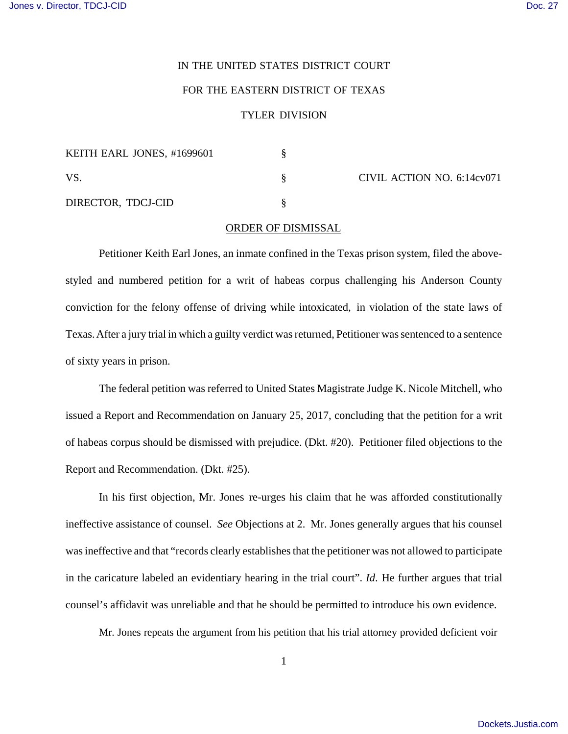## IN THE UNITED STATES DISTRICT COURT

## FOR THE EASTERN DISTRICT OF TEXAS

## TYLER DIVISION

| KEITH EARL JONES, #1699601 |  | CIVIL ACTION NO. 6:14cv071 |
|----------------------------|--|----------------------------|
| -VS                        |  |                            |
| DIRECTOR, TDCJ-CID         |  |                            |

## ORDER OF DISMISSAL

Petitioner Keith Earl Jones, an inmate confined in the Texas prison system, filed the abovestyled and numbered petition for a writ of habeas corpus challenging his Anderson County conviction for the felony offense of driving while intoxicated, in violation of the state laws of Texas. After a jury trial in which a guilty verdict was returned, Petitioner was sentenced to a sentence of sixty years in prison.

The federal petition was referred to United States Magistrate Judge K. Nicole Mitchell, who issued a Report and Recommendation on January 25, 2017, concluding that the petition for a writ of habeas corpus should be dismissed with prejudice. (Dkt. #20). Petitioner filed objections to the Report and Recommendation. (Dkt. #25).

In his first objection, Mr. Jones re-urges his claim that he was afforded constitutionally ineffective assistance of counsel. *See* Objections at 2. Mr. Jones generally argues that his counsel was ineffective and that "records clearly establishes that the petitioner was not allowed to participate in the caricature labeled an evidentiary hearing in the trial court". *Id*. He further argues that trial counsel's affidavit was unreliable and that he should be permitted to introduce his own evidence.

Mr. Jones repeats the argument from his petition that his trial attorney provided deficient voir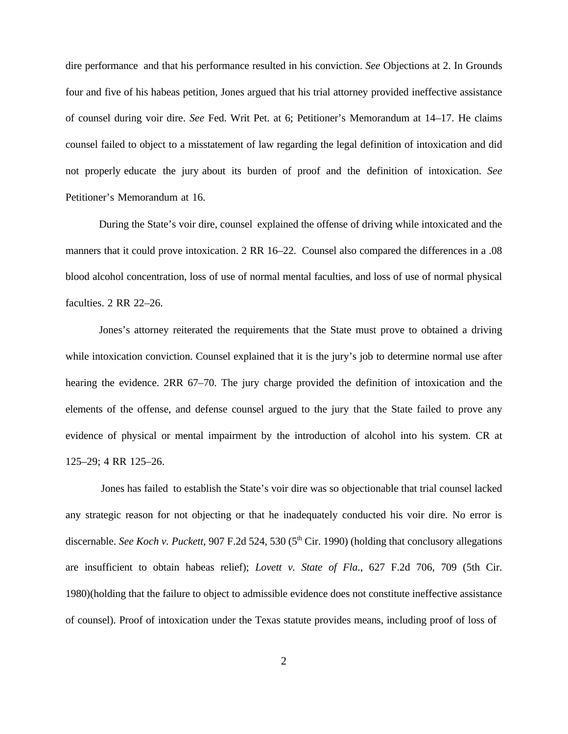dire performance and that his performance resulted in his conviction. *See* Objections at 2. In Grounds four and five of his habeas petition, Jones argued that his trial attorney provided ineffective assistance of counsel during voir dire. *See* Fed. Writ Pet. at 6; Petitioner's Memorandum at 14–17. He claims counsel failed to object to a misstatement of law regarding the legal definition of intoxication and did not properly educate the jury about its burden of proof and the definition of intoxication. *See* Petitioner's Memorandum at 16.

During the State's voir dire, counsel explained the offense of driving while intoxicated and the manners that it could prove intoxication. 2 RR 16–22. Counsel also compared the differences in a .08 blood alcohol concentration, loss of use of normal mental faculties, and loss of use of normal physical faculties. 2 RR 22–26.

Jones's attorney reiterated the requirements that the State must prove to obtained a driving while intoxication conviction. Counsel explained that it is the jury's job to determine normal use after hearing the evidence. 2RR 67–70. The jury charge provided the definition of intoxication and the elements of the offense, and defense counsel argued to the jury that the State failed to prove any evidence of physical or mental impairment by the introduction of alcohol into his system. CR at 125–29; 4 RR 125–26.

Jones has failed to establish the State's voir dire was so objectionable that trial counsel lacked any strategic reason for not objecting or that he inadequately conducted his voir dire. No error is discernable. *See Koch v. Puckett*, 907 F.2d 524, 530 (5<sup>th</sup> Cir. 1990) (holding that conclusory allegations are insufficient to obtain habeas relief); *Lovett v. State of Fla*., 627 F.2d 706, 709 (5th Cir. 1980)(holding that the failure to object to admissible evidence does not constitute ineffective assistance of counsel). Proof of intoxication under the Texas statute provides means, including proof of loss of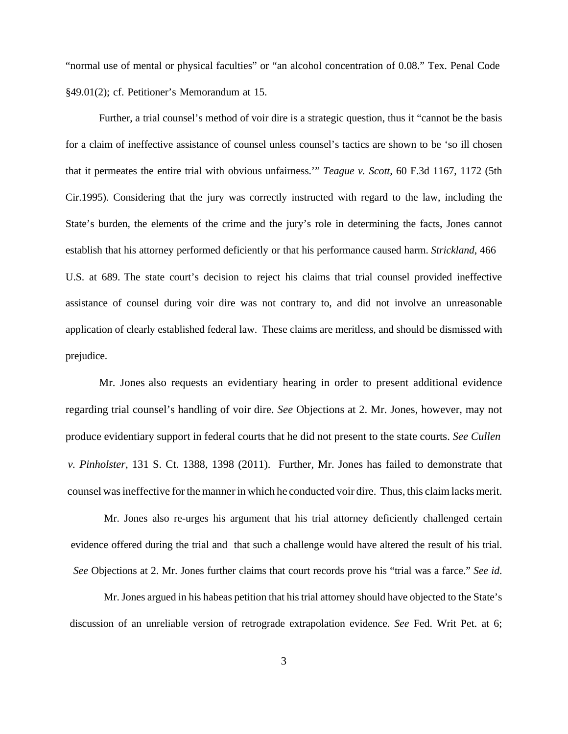"normal use of mental or physical faculties" or "an alcohol concentration of 0.08." Tex. Penal Code §49.01(2); cf. Petitioner's Memorandum at 15.

Further, a trial counsel's method of voir dire is a strategic question, thus it "cannot be the basis for a claim of ineffective assistance of counsel unless counsel's tactics are shown to be 'so ill chosen that it permeates the entire trial with obvious unfairness.'" *Teague v. Scott*, 60 F.3d 1167, 1172 (5th Cir.1995). Considering that the jury was correctly instructed with regard to the law, including the State's burden, the elements of the crime and the jury's role in determining the facts, Jones cannot establish that his attorney performed deficiently or that his performance caused harm. *Strickland*, 466 U.S. at 689. The state court's decision to reject his claims that trial counsel provided ineffective assistance of counsel during voir dire was not contrary to, and did not involve an unreasonable application of clearly established federal law. These claims are meritless, and should be dismissed with prejudice.

Mr. Jones also requests an evidentiary hearing in order to present additional evidence regarding trial counsel's handling of voir dire. *See* Objections at 2. Mr. Jones, however, may not produce evidentiary support in federal courts that he did not present to the state courts. *See Cullen v. Pinholster*, 131 S. Ct. 1388, 1398 (2011). Further, Mr. Jones has failed to demonstrate that counsel was ineffective for the manner in which he conducted voir dire. Thus, this claim lacks merit.

Mr. Jones also re-urges his argument that his trial attorney deficiently challenged certain evidence offered during the trial and that such a challenge would have altered the result of his trial. *See* Objections at 2. Mr. Jones further claims that court records prove his "trial was a farce." *See id*.

Mr. Jones argued in his habeas petition that his trial attorney should have objected to the State's discussion of an unreliable version of retrograde extrapolation evidence. *See* Fed. Writ Pet. at 6;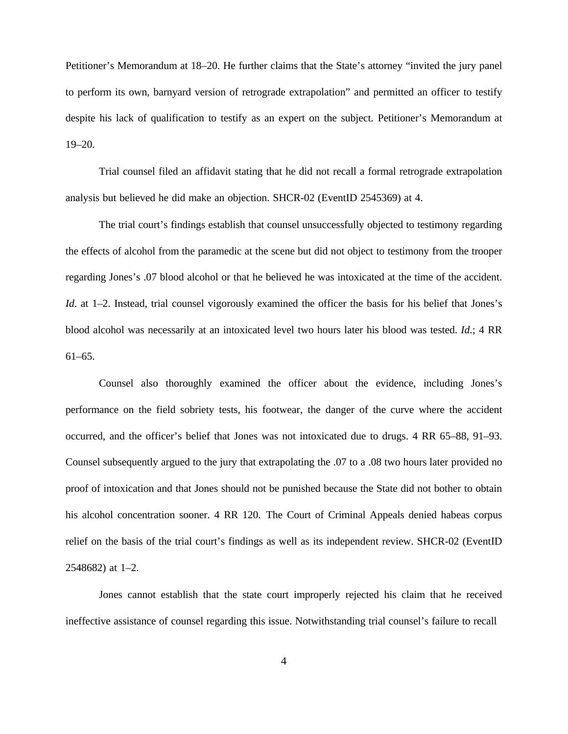Petitioner's Memorandum at 18–20. He further claims that the State's attorney "invited the jury panel to perform its own, barnyard version of retrograde extrapolation" and permitted an officer to testify despite his lack of qualification to testify as an expert on the subject. Petitioner's Memorandum at 19–20.

Trial counsel filed an affidavit stating that he did not recall a formal retrograde extrapolation analysis but believed he did make an objection. SHCR-02 (EventID 2545369) at 4.

The trial court's findings establish that counsel unsuccessfully objected to testimony regarding the effects of alcohol from the paramedic at the scene but did not object to testimony from the trooper regarding Jones's .07 blood alcohol or that he believed he was intoxicated at the time of the accident. *Id.* at 1–2. Instead, trial counsel vigorously examined the officer the basis for his belief that Jones's blood alcohol was necessarily at an intoxicated level two hours later his blood was tested. *Id*.; 4 RR 61–65.

Counsel also thoroughly examined the officer about the evidence, including Jones's performance on the field sobriety tests, his footwear, the danger of the curve where the accident occurred, and the officer's belief that Jones was not intoxicated due to drugs. 4 RR 65–88, 91–93. Counsel subsequently argued to the jury that extrapolating the .07 to a .08 two hours later provided no proof of intoxication and that Jones should not be punished because the State did not bother to obtain his alcohol concentration sooner. 4 RR 120. The Court of Criminal Appeals denied habeas corpus relief on the basis of the trial court's findings as well as its independent review. SHCR-02 (EventID 2548682) at 1–2.

Jones cannot establish that the state court improperly rejected his claim that he received ineffective assistance of counsel regarding this issue. Notwithstanding trial counsel's failure to recall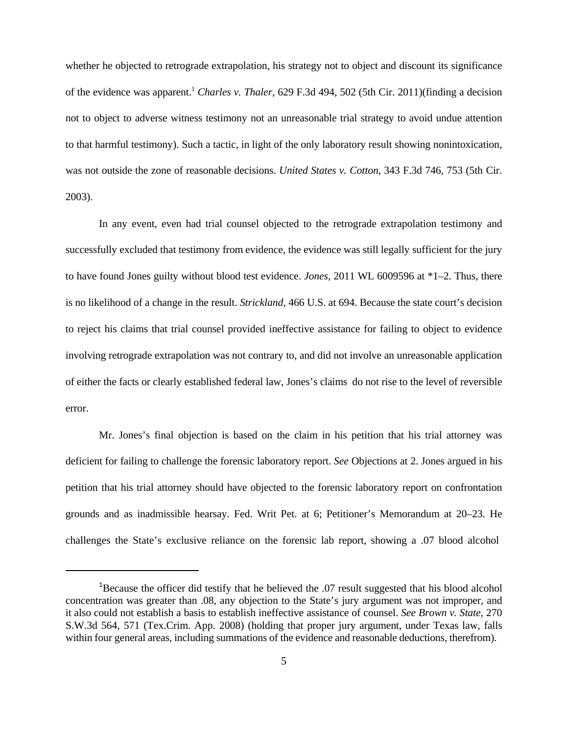whether he objected to retrograde extrapolation, his strategy not to object and discount its significance of the evidence was apparent.1 *Charles v. Thaler*, 629 F.3d 494, 502 (5th Cir. 2011)(finding a decision not to object to adverse witness testimony not an unreasonable trial strategy to avoid undue attention to that harmful testimony). Such a tactic, in light of the only laboratory result showing nonintoxication, was not outside the zone of reasonable decisions. *United States v. Cotton*, 343 F.3d 746, 753 (5th Cir. 2003).

In any event, even had trial counsel objected to the retrograde extrapolation testimony and successfully excluded that testimony from evidence, the evidence was still legally sufficient for the jury to have found Jones guilty without blood test evidence. *Jones*, 2011 WL 6009596 at \*1–2. Thus, there is no likelihood of a change in the result. *Strickland*, 466 U.S. at 694. Because the state court's decision to reject his claims that trial counsel provided ineffective assistance for failing to object to evidence involving retrograde extrapolation was not contrary to, and did not involve an unreasonable application of either the facts or clearly established federal law, Jones's claims do not rise to the level of reversible error.

Mr. Jones's final objection is based on the claim in his petition that his trial attorney was deficient for failing to challenge the forensic laboratory report. *See* Objections at 2. Jones argued in his petition that his trial attorney should have objected to the forensic laboratory report on confrontation grounds and as inadmissible hearsay. Fed. Writ Pet. at 6; Petitioner's Memorandum at 20–23. He challenges the State's exclusive reliance on the forensic lab report, showing a .07 blood alcohol

<sup>&</sup>lt;sup>1</sup>Because the officer did testify that he believed the .07 result suggested that his blood alcohol concentration was greater than .08, any objection to the State's jury argument was not improper, and it also could not establish a basis to establish ineffective assistance of counsel. *See Brown v. State*, 270 S.W.3d 564, 571 (Tex.Crim. App. 2008) (holding that proper jury argument, under Texas law, falls within four general areas, including summations of the evidence and reasonable deductions, therefrom).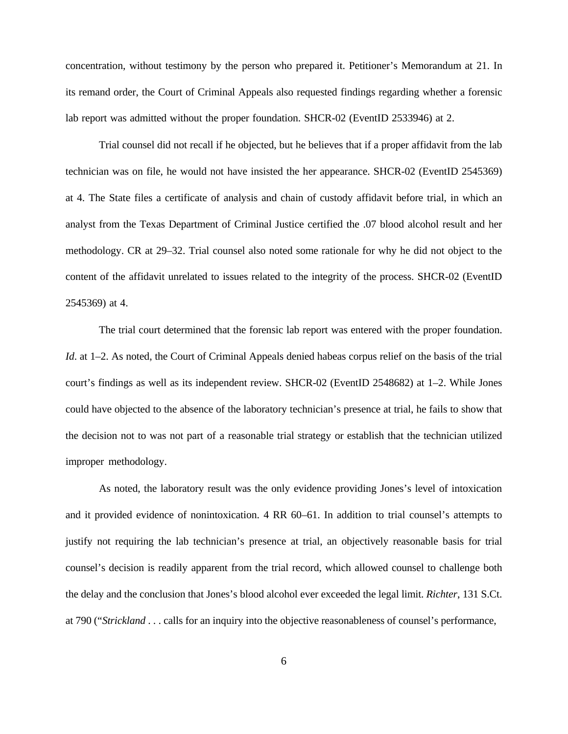concentration, without testimony by the person who prepared it. Petitioner's Memorandum at 21. In its remand order, the Court of Criminal Appeals also requested findings regarding whether a forensic lab report was admitted without the proper foundation. SHCR-02 (EventID 2533946) at 2.

Trial counsel did not recall if he objected, but he believes that if a proper affidavit from the lab technician was on file, he would not have insisted the her appearance. SHCR-02 (EventID 2545369) at 4. The State files a certificate of analysis and chain of custody affidavit before trial, in which an analyst from the Texas Department of Criminal Justice certified the .07 blood alcohol result and her methodology. CR at 29–32. Trial counsel also noted some rationale for why he did not object to the content of the affidavit unrelated to issues related to the integrity of the process. SHCR-02 (EventID 2545369) at 4.

The trial court determined that the forensic lab report was entered with the proper foundation. *Id.* at 1–2. As noted, the Court of Criminal Appeals denied habeas corpus relief on the basis of the trial court's findings as well as its independent review. SHCR-02 (EventID 2548682) at 1–2. While Jones could have objected to the absence of the laboratory technician's presence at trial, he fails to show that the decision not to was not part of a reasonable trial strategy or establish that the technician utilized improper methodology.

As noted, the laboratory result was the only evidence providing Jones's level of intoxication and it provided evidence of nonintoxication. 4 RR 60–61. In addition to trial counsel's attempts to justify not requiring the lab technician's presence at trial, an objectively reasonable basis for trial counsel's decision is readily apparent from the trial record, which allowed counsel to challenge both the delay and the conclusion that Jones's blood alcohol ever exceeded the legal limit. *Richter*, 131 S.Ct. at 790 ("*Strickland* . . . calls for an inquiry into the objective reasonableness of counsel's performance,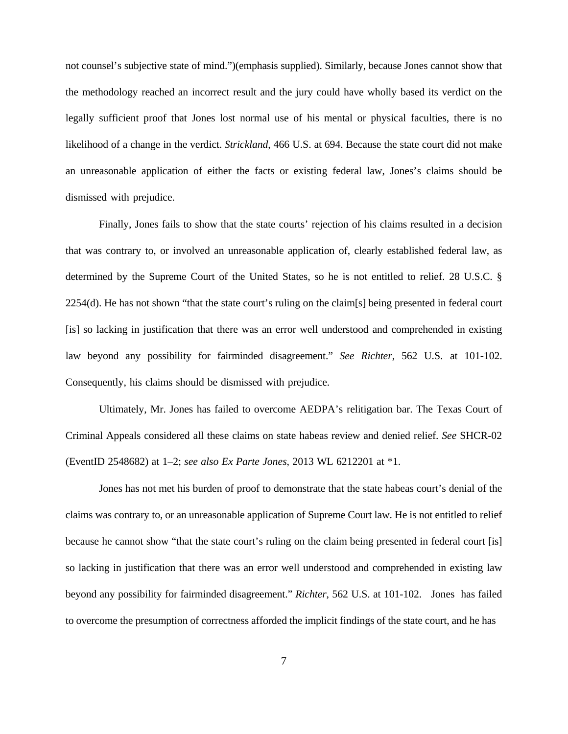not counsel's subjective state of mind.")(emphasis supplied). Similarly, because Jones cannot show that the methodology reached an incorrect result and the jury could have wholly based its verdict on the legally sufficient proof that Jones lost normal use of his mental or physical faculties, there is no likelihood of a change in the verdict. *Strickland*, 466 U.S. at 694. Because the state court did not make an unreasonable application of either the facts or existing federal law, Jones's claims should be dismissed with prejudice.

Finally, Jones fails to show that the state courts' rejection of his claims resulted in a decision that was contrary to, or involved an unreasonable application of, clearly established federal law, as determined by the Supreme Court of the United States, so he is not entitled to relief. 28 U.S.C. § 2254(d). He has not shown "that the state court's ruling on the claim[s] being presented in federal court [is] so lacking in justification that there was an error well understood and comprehended in existing law beyond any possibility for fairminded disagreement." *See Richter*, 562 U.S. at 101-102. Consequently, his claims should be dismissed with prejudice.

Ultimately, Mr. Jones has failed to overcome AEDPA's relitigation bar. The Texas Court of Criminal Appeals considered all these claims on state habeas review and denied relief. *See* SHCR-02 (EventID 2548682) at 1–2; *see also Ex Parte Jones*, 2013 WL 6212201 at \*1.

Jones has not met his burden of proof to demonstrate that the state habeas court's denial of the claims was contrary to, or an unreasonable application of Supreme Court law. He is not entitled to relief because he cannot show "that the state court's ruling on the claim being presented in federal court [is] so lacking in justification that there was an error well understood and comprehended in existing law beyond any possibility for fairminded disagreement." *Richter*, 562 U.S. at 101-102. Jones has failed to overcome the presumption of correctness afforded the implicit findings of the state court, and he has